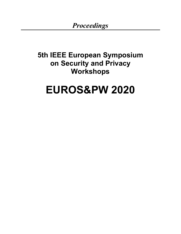# **5th IEEE European Symposium on Security and Privacy Workshops**

# **EUROS&PW 2020**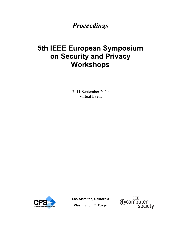# **5th IEEE European Symposium on Security and Privacy Workshops**

7–11 September 2020 Virtual Event



**Los Alamitos, California** 



**Washington • Tokyo**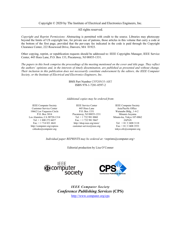Copyright © 2020 by The Institute of Electrical and Electronics Engineers, Inc.

All rights reserved.

*Copyright and Reprint Permissions*: Abstracting is permitted with credit to the source. Libraries may photocopy beyond the limits of US copyright law, for private use of patrons, those articles in this volume that carry a code at the bottom of the first page, provided that the per-copy fee indicated in the code is paid through the Copyright Clearance Center, 222 Rosewood Drive, Danvers, MA 01923.

Other copying, reprint, or republication requests should be addressed to: IEEE Copyrights Manager, IEEE Service Center, 445 Hoes Lane, P.O. Box 133, Piscataway, NJ 08855-1331.

*The papers in this book comprise the proceedings of the meeting mentioned on the cover and title page. They reflect the authors' opinions and, in the interests of timely dissemination, are published as presented and without change. Their inclusion in this publication does not necessarily constitute endorsement by the editors, the IEEE Computer Society, or the Institute of Electrical and Electronics Engineers, Inc.*

> BMS Part Number CFP20N35-ART ISBN 978-1-7281-8597-2

*Additional copies may be ordered from*:

Customer Service Center 445 Hoes Lane Asia/Pacific Office 10662 Los Vaqueros Circle P.O. Box 1331 Watanabe Bldg., 1-4-2 Los Alamitos, CA 90720-1314 Tel: + 1 732 981 0060<br>Tel: + 1 800 272 6657 Fax: + 1 732 981 9667 http://computer.org/cspress csbooks@computer.org

 $Fax: + 1 732 981 9667$  JAPAN Fax: + 1 714 821 4641 http://shop.ieee.org/store/ Tel: + 81 3 3408 3118 customer-service@ieee.org Fax: + 81 3 3408 3553

IEEE Computer Society IEEE Service Center IEEE Computer Society P.O. Box 3014 <br>mitos, CA 90720-1314 <br>Tel: + 1 732 981 0060 <br>Minato-ku, Tokyo 107-0062 tokyo.ofc@computer.org

*Individual paper REPRINTS may be ordered at*: <reprints@computer.org>

Editorial production by Lisa O'Conner





*IEEE Computer Society Conference Publishing Services* **(CPS)**  http://www.computer.org/cps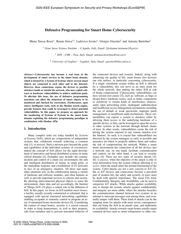#### Defensive Programming for Smart Home Cybersecurity

Maria Teresa Rossi<sup>∗</sup>, Renan Greca<sup>∗†</sup>, Ludovico Iovino<sup>∗</sup>, Giorgio Giacinto<sup>‡</sup> and Antonia Bertolino<sup>†</sup>

∗ *Gran Sasso Science Institute – L'Aquila, Italy, Email: {firstname.lastname}@gssi.it*

† *ISTI - CNR – Pisa, Italy, Email: antonia.bertolino@isti.cnr.it*

‡ *University of Cagliari – Cagliari, Italy, Email: giacinto@diee.unica.it*

*Abstract*—Cybersecurity has become a real issue in the development of smart services in the smart home domain, which is formed by a System of Systems where several smart objects are connected to each other and to the Internet. However, these connections expose the devices to possible attackers inside or outside the network, who may exploit software or hardware vulnerabilities to achieve malicious goals. To alleviate this issue, the use of defensive programming assertions can allow the behaviour of smart objects to be monitored and checked for correctness. Furthermore, open source intelligence tools, such as the Shodan search engine, provide features that could be leveraged to detect potential vulnerabilities. In this paper, we propose an approach for the monitoring of Systems of Systems in the smart home domain exploiting the defensive programming paradigm in combination with Shodan APIs.

#### 1. Introduction

Many complex tasks are today handled by *Systems of Systems* (SoS), which are compositions of independent systems that collaborate towards achieving a common task [1], or *mission*. Such a mission goes beyond the goals and capabilities of the individual systems, or *constituents*: indeed the concept of SoS allows for the rapid development of innovative and broad distributed systems in many critical domains [2]. Examples may include: the communication and control of a smart city environment, the safe and intelligent distribution of energy in smart grids, or the immediate response and coordination of IT networks in face of an emergency situation. All these and many other situations rely on the collaboration among a variety of hardware and software modules, and often humans as well, to provide important services to citizens and society. By allowing interconnected physical objects to sense the environment, share data and act accordingly, the Internet of Things (IoT) [3] plays a central role in the diffusion of SoS. In this paper, we focus on IoT-enabled *smart homes*: a facility, usually recently constructed or reformed, that is equipped with special structured networking capabilities enabling occupants to remotely control or program an array of automated home electronic devices [4]. Considering the context of smart homes, security is a crucial concern in order to keep homeowners, as well as their property, safe from intruders and to prevent unwanted behavior of

the connected devices and systems. Indeed, along with enhancing our quality of life, smart homes also increase our risk surface, in particular concerning cybersecurity. If a single constituent system within an SoS is affected by a vulnerability, this can serve as an entry point for the whole network, thus putting the entire SoS at risk of being compromised. Cybersecurity vulnerabilities can have several root causes [5], such as: software, as bugs or design flaws; hardware issues, such as faulty components or sensitivity to certain kinds of interference; unnecessarily open networking ports; inadequate authentication and insufficient access management mechanisms including the use of default or weak passwords; improper patch management; or insufficient audit mechanisms. These vulnerabilities can expose a system to attackers either by allowing them access to the underlying hardware of a specific device, or they can be leveraged to open the access to other systems in the network through default chains of trust. In other words, vulnerabilities create the risk of having the system exposed to any remote attacker over the Internet. As such, it is crucial that vulnerabilities are detected by the system managers as early as possible and measures are taken to properly address them and reduce the risk of compromising the network. Within a smart home environment the connection of all the devices into a network can, on one hand, facilitate communication and control; on the other hand, it can lead to security issues [4]. There are two types of security threats [5], [6]: i) *passive*, when the objective of the attack is only to steal information from the system without affecting it; ii) *active*, when the attack alters the normal functioning of the system. Cyber-attacks are not a new concern to IoT [7], but as IoT devices and connections become a prevalent part of modern life, the safety and security of users must be dealt with upmost importance. The usual CIA triad, Confidentiality, Integrity, and Availability, can be used to categorize IoT attacks. While attacks against availability aim to disrupt the system, attacks against confidentiality and integrity are more subtle, where the attacker breaches the communication channel between two systems in an attempt to intercept messages sent among them, and eventually tamper with them. These kind of attacks can be the stepping stone for attacks with more severe consequences that can bring the SoS in an unsafe state, and undermine its availability. Attacks towards smart homes usually target common devices such as smart refrigerators or other con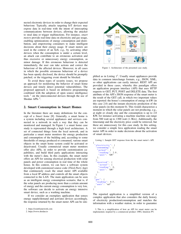nected electronic devices in order to change their expected behaviour. Typically, attacks targeting IoT devices may expose data in real-time with the intent of intercepting communications between devices, allowing the attacker to steal data or trigger malfunctions. For instance, *smart meters* provide real-time data on electricity and gas usage, enabling optimizations of energy consumption and distribution, and empowering consumers to make intelligent decisions about their energy usage. If smart meters are used in the context of an SoS, e.g., by activating other devices when the consumption is under a certain level, an attack can contribute to an erroneous activation and thus excessive or unnecessary energy consumption, as minor damage. If this erroneous behaviour is detected immediately, the user can take actions and correct the behaviour of the affected devices. Moreover, in all cases in which the possible erroneous behaviour of a device has been openly disclosed, the device should be promptly patched, or the triggering event should be blocked.

To avoid these types of security issues, we propose an approach for monitoring the behavior of smart home devices and timely detect potential vulnerabilities. The proposed approach is based on defensive programming combined with the adoption of open source intelligence tools  $<sup>1</sup>$  on the interconnected devices through the use of</sup> Shodan APIs<sup>2</sup>.

#### 2. Smart Consumption in Smart Homes

In the literature there are many definitions for the concept of a *Smart home* [8]. Generally, a smart home is a system including several appliances and services connected in a network in such a way that they can be monitored and managed. In Figure 1 a smart home case study is represented through a high level architecture. A set of connected things form the local network, and in particular a smart meter monitors the energy production and consumption of the building and, according to some thresholds of energy produced or consumed, various smart objects in the smart home system could be activated or deactivated. Usually commercial smart meter monitors offer also APIs, in order to provide customization capabilities, and build third party applications interacting with the meter's data. In this example, the smart meter offers an API for sensing electrical production with solar panels and power consumption in real time of the whole house. In this context, we can have a software system developed with customized source code (*Third-Party App*) that continuously *reads* the smart meter API available from a local IP address and controls all the smart objects connected to the LAN. The main application can be seen as an intelligent energy consumption scenario, that is, if the solar panels are producing more than a certain amount of energy and the current energy consumption is very low, the software can decide to activate an energy intensive smart device, such as a washing machine.

If we consider an exemplary application that senses energy supply/demand and activates devices accordingly, the response returned by the smart meter API can be sim-



Figure 1. Architecture of the presented case study.

plified as in Listing  $1<sup>3</sup>$ . Usually smart appliances provide data in common interchange formats, e.g., JSON, XML, so other applications can easily interact. REST API are provided in these cases, whereby this paradigm offers an application program interface (API) that uses HTTP requests to GET, PUT, POST and DELETE data. The first attribute of the API's JSON response of the smart meter is the result of the GET call, in which two important values are reported: the house's consumption of energy in kW (in this case 2.0) and the instant electricity production of the solar panels (in this moment 0). This would characterize a moment in which the solar panels are not producing, e.g., at night or cloudy day and the consumption is up to 2.0 KW, for instance activating a machine machine can range from 500 watt up to 1300 watt (1.3Kw). Additionally, the timestamp and the electricity price could be retrieved, but these are unnecessary for this case study. In this setting, we consider a simple Java application reading the smart meter API in order to make decisions about the activation of smart devices.

Listing 1. Sample GET response from the the smart meter's API.

```
electricity" {
 "consuming": {
   actual" {
    " reading" : 2.0 ,
    "unit" : "kW"
  } ,
 } ,
  received": {
    " actual" : \left\{\right." reading" : 0
    " reading" : 0,
    "unit" : "kW"
  } ,
 }
} ,
 gas" {
 " reading" : 0.5 ,
 "unit" : "m3"
}
```
{

}

The reported application is a simplified version of a complex application that also considers the daily history of electricity production/consumption and matches the information with a weather station, in order to guarantee

<sup>1.</sup> https://osintframework.com

<sup>2.</sup> https://www.shodan.io

<sup>3.</sup> This is a simplification of how an API for smart meter can be implemented, inspired by a commercial product: OWL Intuition PV.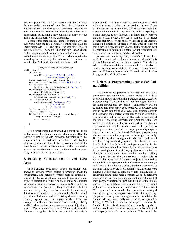that the production of solar energy will be sufficient for the needed amount of time. For sake of simplicity we assume that the *sensing* and *activating* methods are part of a scheduled routine that also detects other useful information, but Listing 2 only contains a snippet of code doing the simple task we are discussing.

Consider this snippet as an example of third-party code that works with the IoT devices. It continuously calls the smart meter API URL and stores the resulting JSON in the smartmeter variable. Then this application checks if the energy available is more than 5 kW and, if so, it instantiates a device as a new Thing which is activated according to the priority list; otherwise, it continues to monitor the API until this condition is matched.

```
Listing 2. Example of Third Party app
while (true) {
    URL api =new URL ("https://192.168.1.12/"+
                  'smarthome / meter / get" );
    Thing smartmeter = new Thing ();
    smartmeter . setIpAddress ("192.168.1.12");
    String content =
         MyFileUtils . urlToString ( api , "utf −8" ) ;
    JSONObject toJsonObject =
        new JSONObject (content);
    JSONObject smartmeter =
        toJsonObject . get ( "electricity" ) ;
    Double consumption =
         smartmeter.get ("consuming"))
                 . get ( "actual" ) )
                  . get ("reading");
    Double received = ...;Double delta = 5.0;
    if (received - consumption >= delta) {
         Thing t = new Thing();
        t . activate ();
         ...
    }
}
```
If the smart meter has exposed vulnerabilities, it can be the target of malicious attacks which could affect the reading shown in the API response. Optimistically, this could result in the undesired activation or deactivation of devices, affecting the electricity consumption of the smart home. However, such an attack could be escalated to an even worse situation, causing incidents such as power outages or even a voltage overload.

#### 3. Detecting Vulnerabilities in 3rd Party Apps

In IoT-enabled SoS, smart objects are usually connected to sensors, which collect information about the environment, and actuators, which perform actions according to the collected information. If one such smart object is subject to a vulnerability, it could be exploited as an entry point and expose the entire SoS to malicious interference. One way of protecting smart objects from attackers is by using tools to automatically and timely detect vulnerable devices. One such tool is Shodan, which provides a dashboard and APIs listing devices currently publicly exposed over IP to anyone on the Internet. An example of a Shodan entry can be a vulnerability publicly available showing how to execute a command injection to a Smart Camera connected over IP. This would mean that if the user recognise this device as part of its network, he / she should take immediately countermeasures to deal with this issue. Shodan can be used to inspect if one of the systems in the network, subject of our study, has a potential vulnerability, by checking if it is exposing a public interface to the Internet. It is important to observe that, in a SoS context, the API's purpose is to detect devices that have services publicly exposed to the Internet, along with details about these services. Once it is known that a device is reachable by Shodan, further analysis must be performed to determine whether or not a vulnerability exists, so it can finally be patched if needed.

A constant monitoring using Shodan's APIs will help an SoS to adapt and recalculate in case a vulnerability is exposed by one of its constituent systems. The Shodan API provides several features that could be valuable to detect potential vulnerabilities in a smart environment, such as: IP lookup, host search, IP crawl, automatic alert in a given list of IP addresses.

#### 4. Defensive Programming against SoS Vulnerabilities

The approach we propose to deal with the case study presented in section 2 and its potential vulnerabilities is to use a well-known programming paradigm called *Defensive programming* [9]. According to such paradigm, developers must assume that any possible vulnerability will be exploited and thus apply good practices to develop code that is secure against attacks. One such practice consists in preserving code correct execution by using *assertions*. The idea is to add assertions in the code so to check if the code is executing correctly and produced values are within expectations. As known, an assertion is in fact an expression that must be evaluated *true* if the program is running correctly; if not, defensive programming requires that the execution be terminated. Defensive programming also considers how the program can be stopped securely. By combining this paradigm with the functionalities of a vulnerability monitoring systems like Shodan, we can handle SoS vulnerabilities in multiple scenarios. In the case study represented in Figure 1, considering assertions in the development of third party applications may help to check if the interactions among devices involves a *Thing* that appears in the Shodan directory, as vulnerable. If we find that even one of the smart objects is exposed to vulnerabilities the program will notify the system manager and / or alter its behaviour. Of course this is applicable to the smart thing software itself, even if it results easier to be managed with respect to third party apps, making this interleaving connections more complex. As such, defensive programming can be a good practice in the development of third-party applications for SoS but it is not a silver bullet, nor the unique solution. For instance, the code reported in listing 2, in particular every occurrence of the concept Thing, should be surrounded by an assertion checking if this device appears as exposed on the Shodan repository. To provide a sample of this approach, we simulated the Shodan API response locally and the result is reported in Listing 3. We had to simulate the response because the Shodan database is (fortunately) not densely populated, and we would not like to expose a real vulnerability of a third-party device for our experiment. This result is the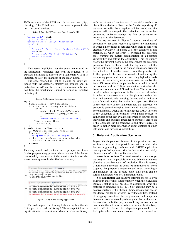JSON response of the REST call /shodan/host/ip, checking if the IP indicated as parameter appears in the list of exposed devices.

```
Listing 3. Sample GET response from Shodan's API.
{
  "region_code": null,
  "ip": "192.168.1.12"
  "country_name": "Italy", "hostnames": [],
  "data": [
    {
      "product": "Smart Meter Device of the GSSI",
      "os": null,
      "timestamp": "2014-01-12T18:25:41",
      "isp": "Telecom"
    }
 ]
}
```
This result highlights that the smart meter used in the application, connected then with the required ip, is exposed and might be affected by a vulnerability, so it is important to alert the manager of the smart home.

The code reported in Listing 2 could be easily extended with the defensive strategy we propose and, in particular, the API call for getting the electrical information from the smart meter should be refined as reported in Listing 4.

```
Listing 4. Defensive Programming Example
try
    Shodan shodan = new Shodan (key);
    if (received - consumption >= delta) {
        assert
             shodan . checkIfDeviceIsVulnerable (
                 smartmeter . getIp_address ()
             ) :
             "Device seems to be vulnerable";
        Thing t = new Thing();
        t . activate ();
    }
} catch ( AssertionError error ) {
    // Output expected AssertionErrors .
    System.err.println(
    "The application will be stopped");
    // here the de veloper can customize the
    // actions to be undertaken
    return ;
```

```
}
```
This very simple code, refined in the perspective of defensive programming, prevents the activation of the device controlled by parameters of the smart meter in case the smart meter appears in the Shodan repository.



Figure 2. Log of the running application

The code reported in Listing 4 should replace the affected part of the code in Listing 2. The main point deserving attention is the assertion in which the shodan library with the checkIfDeviceIsVulnerable method to check if the device is listed in the Shodan repository. If the assertion fails, the exception will be treated and the program will be stopped. This behaviour can be further customized to better manage the flow of activation or notification to the developer.

The log reported in Figure 2 reports two flows of execution of the code. Figure 2 a) reports the monitoring in which a new device is activated when there is sufficient electricity available. In Figure 2 b) the condition is not matched, so when the event is triggered the assertion fails, warning the system administration of a potential vulnerability and halting the application. This log simply shows the different flows in the cases where the assertion passes or fails. In the a) part, the log shows that the device, not being listed in the Shodan repository, triggers the activation of another device from the priority list. In the option b) the device is actually listed during the monitoring phase and then an alert (highlighted in red) is raised to warn the system administrator to resolve the issue. Of course this example has been tested in a local environment with an Eclipse installation to simulate the home environment, the API and the flow. The action undertaken when the application is discovered as vulnerable is limited to a console print out. We plan to simulate this in a real scenario with sensing devices and a real case study. It worth noting that while this paper uses Shodan as the repository of the vulnerabilities, the approach we propose is general enough to be extended to other sources. More in general, Open Source Intelligence (OSINT) refers to the collection of information from public sources to gather data of publicly available information sources about individuals and business intelligence purposes. Based on it this approach can be extended to add other sources in order to gather more information about exploits or other info about our devices vulnerabilities.

#### 5. Relevant Application Scenarios

Beyond the simple case discussed in the previous section, we foresee several other possible scenarios in which defensive programming combined with OSINT application can support SoS cybersecurity. In this section we briefly discuss some of such possible scenarios.

Assertions Actions The used assertion simply stops the program to avoid possible unwanted behaviour without planning a possible action of resolution. For this reason, a notification mechanism could be introduced to avoid stopping the program's execution and react accordingly and manually on the affected code. This point can be further automated with self adaptation plans.

Self-adaptation Self-adaptive software checks its own behaviour and evolves autonomously when the evaluation indicates that it is not possible to accomplish what the software is intended to do [10]. Self adapting may be a positive strategy if the Shodan library reveals that one of the device results as affected by vulnerabilities. Instead of stopping execution, the program can self-adapt its behaviour with a reconfiguration plan. For instance, if the assertion fails the program could try to continue to coordinate the activation of other devices without relying on the affected device. An adaptation plan could be a lookup for other smart meters connected to the network or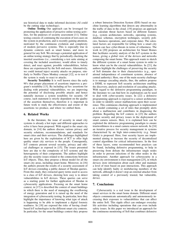use historical data to make informed decisions (AI could be the cutting edge technology).

Online Testing Our approach can be leveraged for promoting the application of proactive online testing activities, for the purposes of security assessment [11]. Online testing consists of continuing the execution of test cases on the system in production, and is recently gaining attention, motivated by the continuous evolution and complexity of modern pervasive systems. This is especially true in dynamic contexts such as smart homes, and more in general for any SoS. We envisage a potential application of an online testing strategy that by periodically checking the inserted assertions (i.e., considering a test suite aiming at covering the included assertions), would allow to timely detect, and react against, possible vulnerabilities, before these are experienced by the SoS end-users. Alternatively, we could instead inject security attacks on purpose, similarly to Netflix Chaos Monkey concept [12], so to test if the system is ready to react to attacks.

Security Testability It is well known since the early 90's that proper placement of assertions improves a program's testability [13]. By including *ad hoc* assertions for dealing with potential vulnerabilities, we are improving the potential of disclosing possible attacks and hence naturally increase a system testability for security. Of course, such statement is strictly dependent on the quality of the assertion themselves, therefore it is important in future work to study the effectiveness and extent of the assertions we produce, and where we embed them.

#### 6. Related Works

In the literature, the issue of security in smart city systems is already a hot topic and different approaches to solve it have been proposed. With regard to the smart city domain, in [14] the authors discuss various privacy and security solutions, recommendations, and standards for smart cities and their services. The challenges highlighted here are given by the exploitation of ICT to offer high quality smart city services to the people. Consequently, IoT contexts present several security, privacy and ethical challenges as exposed in [15]. The issues presented here are due to the complexity of IoT systems and the heterogeneity of their components. The authors highlight also the security issues related to the connections between IoT objects. Thus, they propose a threat model for all the smart city areas, including smart home. Moreover, in [16] the authors present the results of a security assessment of IoT devices extending a public dataset of Shodan queries. From this study, they extracted query terms used to access to a class of IoT devices, showing how easy is to detect vulnerabilities in IoT devices. These queries can serve as a starting point for further application of Shodan in cybesecurity applications. Focusing on the smart home context, in [17] is described the context of smart buildings in which there is the need of managing the overflowing of energy generation and it is raised up the need of the integration of cybersecurity testing. In particular, here they highlight the importance of knowing what type of attack is happening to be able to implement a digital forensic readiness. In [18] are exposed the risks of having cloudbased IoT technologies in the different smart city contexts. In particular, for the smart buildings context they propose a robust Intrusion Detection System (IDS) based on machine learning algorithms that detects any abnormality in the traffic of data in the cloud. [19] proposes an approach that calculate threat factors based on different features (e.g., system architecture, networks, operating systems, database schemas, encryption techniques, security policies, business operations, and corporate data). The calculated factors are responsible for telling how a smart city system can face cyber-threats in terms of robustness. The work in [20] proposes an architecture for Smart Homes that facilitates security analysis of the IoT systems in the house, giving a global view of the devices and networks composing the smart home. This approach wants to sketch the different systems of a smart home system in order to know what can be the crucial vulnerabilities. In [21], the authors highlight the challenges of preserving the security of SoS domains due to their characteristics (e.g., operational independence of constituent systems, absence of central authority). Here, one of the main security challenge is to manage cascading attacks, thus, the authors propose a DSML to represent SoS security architecture enabling the discovery, analysis and resolution of cascading attacks. With regard to the defensive programming paradigm, in the literature we can find how its exploitation can be used to deal with cyber-security issues. In [22] a defensive programming approach is exposed to a sensor architecture in order to identify sensor malfunctions upon their occurrence. This continuous checking approach is implemented as a model containing a set of rules that promptly alerts about a malfunction and contributes in diagnosing the problem. Regarding the IoT context, in [23] the authors expose security and privacy issues in the deployment of smart camera sensors. Here, it is explained how can be exploited the defensive programming paradigm to ensure trustworthiness in a smart camera sensors network. In [24] an iterative process for security management in systems characterised by an high inter-connectivity (e.g. Smart Grids) is proposed. Here, four security layers are implemented aiming to increase the security of decentralized control algorithms for critical infrastructures. In the first of these layers, some recommended best practices can be found, including defensive programming, to help in preserving from defeats the infrastructure single nodes in order to prevent infections of the other nodes in the infrastructure. Another approach for cybersecurity in a smart city environment is trust management [25], in which devices store information about each other and maintain a level of trust based on past interactions. This approach can help identify faulty or misbehaving members of the network, although it doesn't stop an external attacker from taking control of a previously trusted, but vulnerable, device.

#### 7. Conclusions

Cybersecurity is a real issue in the development of smart services in the smart home domain. Different smart objects communicate automatically and autonomously increasing their exposure to vulnerabilities that can affect the entire SoS. This ripple effect can endanger everyday life activities including operations that can even include safety issues. In this paper we introduced an approach for the continuous monitoring of SoS that combines defensive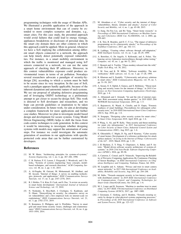programming techniques with the usage of Shodan APIs. We illustrated a possible application of the approach in a smart home environment that can of course be extended to more complex scenarios and domains, e.g., smart cities. For this case study, the presented approach would avoid failures that could lead to energy wastage, appliances breakdowns or disclosure of personal data. In the smart city domain there are other contexts in which this approach could be applied. More in general, whenever we have a SoS implying the collaboration among different smart objects connected to a network, the approach can help timely detect potentially exposed vulnerabilities. For instance, in a smart mobility environment in which the traffic is monitored and managed using IoT sensors connected in a network, we can use the same approach of checking their IP addresses. Moreover, in this context vulnerabilities exposure could produce environmental issues in terms of air pollution. Nowadays several researchers advocate a paradigm of security-bydesign [26], according to which a system must be built to be secure since its very inception. In the case of SoS, such a paradigm appears hardly applicable, because of the inherent dynamism and autonomic nature of such systems. We see our proposal of adopting defensive programming and of leveraging OSINT technology as a preliminary attempt to get closer to secure-by-design SoS. This work is directed to SoS developers and researchers, and we hope can provide guidelines or inspiration to be taken under consideration. In future work, we aim at developing a complete framework for more applications and further case studies. Moreover we plan to investigate model based design and development for secure systems. Using Model Driven Engineering (MDE) helps to shift the focus from code-centric techniques to code generation. In this context it would be interesting to investigate whether designing systems with models may support the automation of some steps. For instance we could investigate the automatic generation of assertions in our applications with specific protected code areas that can be further customized by developers.

#### References

- [1] M. W. Maier, "Architecting principles for systems-of-systems," *Systems Engineering*, vol. 1, no. 4, pp. 267–284, 1998.
- [2] C. B. Nielsen, P. G. Larsen, J. Fitzgerald, J. Woodcock, and J. Peleska, "Systems of systems engineering: basic concepts, modelbased techniques, and research directions," *ACM Computing Surveys*, vol. 48, no. 2, pp. 1–41, 2015.
- [3] A. Al-Fuqaha, M. Guizani, M. Mohammadi, M. Aledhari, and M. Ayyash, "Internet of things: A survey on enabling technologies, protocols, and applications," *IEEE Communications Surveys Tutorials*, vol. 17, no. 4, pp. 2347–2376, 2015.
- [4] R. J. Robles, T.-h. Kim, D. Cook, and S. Das, "A review on security in smart home development," *International Journal of Advanced Science and Technology*, vol. 15, 2010.
- [5] N. Neshenko, E. Bou-Harb, J. Crichigno, G. Kaddoum, and N. Ghani, "Demystifying iot security: An exhaustive survey on iot vulnerabilities and a first empirical look on internet-scale iot exploitations," *IEEE Communications Surveys Tutorials*, vol. 21, no. 3, pp. 2702–2733, 2019.
- [6] N. Komninos, E. Philippou, and A. Pitsillides, "Survey in smart grid and smart home security: Issues, challenges and countermeasures," *IEEE Communications Surveys Tutorials*, vol. 16, no. 4, pp. 1933–1954, 2014.
- [7] M. Abomhara et al., "Cyber security and the internet of things: vulnerabilities, threats, intruders and attacks," *Journal of Cyber Security and Mobility*, vol. 4, no. 1, pp. 65–88, 2015.
- [8] Li Jiang, Da-You Liu, and Bo Yang, "Smart home research," in *Proceedings of 2004 International Conference on Machine Learning and Cybernetics (IEEE Cat. No.04EX826)*, vol. 2, 2004, pp. 659–663.
- [9] J. K. Teto, R. Bearden, and D. C.-T. Lo, "The impact of defensive programming on i/o cybersecurity attacks," in *Proceedings of the SouthEast Conference*, 2017, pp. 102–111.
- [10] R. Laddaga, "Creating robust software through self-adaptation," *IEEE Intelligent Systems*, vol. 14, no. 3, pp. 26–29, 1999.
- [11] A. Bertolino, G. De Angelis, S. Kellomaki, and A. Polini, "Enhancing service federation trustworthiness through online testing," *Computer*, vol. 45, no. 1, pp. 66–72, 2011.
- [12] C. Bennett and A. Tseitlin, "Chaos monkey released into the wild," *Netflix Tech Blog*, vol. 30, 2012.
- [13] J. M. Voas and K. W. Miller, "Software testability: The new verification," *IEEE software*, vol. 12, no. 3, pp. 17–28, 1995.
- [14] R. Khatoun and S. Zeadally, "Cybersecurity and privacy solutions in smart cities," *IEEE Communications Magazine*, vol. 55, no. 3, pp. 51–59, 2017.
- [15] A. Seeam, O. S. Ogbeh, S. Guness, and X. Bellekens, "Threat modeling and security issues for the internet of things," in *2019 Conference on Next Generation Computing Applications (NextComp)*, 2019, pp. 1–8.
- [16] A. Albataineh and I. Alsmadi, "Iot and the risk of internet exposure: Risk assessment using shodan queries," in *2019 IEEE 20th WoWMoM International Symposium*, 2019, pp. 1–5.
- [17] E. Bajramovic, K. Waedt, A. Ciriello, and D. Gupta, "Forensic readiness of smart buildings: Preconditions for subsequent cybersecurity tests," in *2016 IEEE International Smart Cities Conference (ISC2)*, Sep. 2016, pp. 1–6.
- [18] N. Sengupta, "Designing cyber security system for smart cities," in *Smart Cities Symposium 2018*, April 2018, pp. 1–6.
- [19] P. Wang, A. Ali, and W. Kelly, "Data security and threat modeling for smart city infrastructure," in *2015 International Conference on Cyber Security of Smart Cities, Industrial Control System and Communications (SSIC)*, Aug 2015, pp. 1–6.
- [20] K. Ghirardello, C. Maple, D. Ng, and P. Kearney, "Cyber security of smart homes: Development of a reference architecture for attack surface analysis," in *Living in the Internet of Things: Cybersecurity of the IoT - 2018*, March 2018, pp. 1–10.
- [21] J. El Hachem, Z. Y. Pang, V. Chiprianov, A. Babar, and P. Aniorte, "Model driven software security architecture of systems-ofsystems," in *2016 23rd Asia-Pacific Software Engineering Conference (APSEC)*, 2016, pp. 89–96.
- [22] A. Carteron, C. Consel, and N. Volanschi, "Improving the Reliability of Pervasive Computing Applications By Continuous Checking of Sensor Readings," in *IEEE International Conference on Ubiquitous Intelligence and Computing*, Toulouse, France, Jul. 2016.
- [23] M. Loughlin and A. Adnane, "Privacy and trust in smart camera sensor networks," in *2015 10th International Conference on Availability, Reliability and Security*, Aug 2015, pp. 244–248.
- [24] M. Stübs, "Towards emergent security in low-latency smart grids with distributed control," in *2018 IEEE International Conference on Communications, Control, and Computing Technologies for Smart Grids (SmartGridComm)*, Oct 2018, pp. 1–6.
- [25] M. L. Loper and B. Swenson, "Machine to machine trust in smart cities," in *2017 IEEE 37th International Conference on Distributed Computing Systems (ICDCS)*, 2017, pp. 1887–1889.
- [26] J. Geismann, C. Gerking, and E. Bodden, "Towards ensuring security by design in cyber-physical systems engineering processes," in *Proceedings of the 2018 International Conference on Software and System Process*, 2018, pp. 123–127.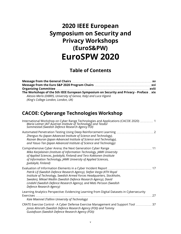## **2020 IEEE European Symposium on Security and Privacy Workshops (EuroS&PW) EuroSPW 2020**

### **Table of Contents**

| The Workshops of the 5th IEEE European Symposium on Security and Privacy - Preface  xix |  |
|-----------------------------------------------------------------------------------------|--|
| Alessio Merlo (DIBRIS, University of Genoa, Italy) and Luca Viganò                      |  |
| (King's College London, London, UK)                                                     |  |

### **CACOE: Cyberange Technologies Workshop**

| International Workshop on Cyber Range Technologies and Applications (CACOE 2020)  1<br>Maria Leitner (AIT Austrian Institute of Technology) and Teodor<br>Sommestad (Swedish Defence Research Agency FOI)                                                                                                                    |
|------------------------------------------------------------------------------------------------------------------------------------------------------------------------------------------------------------------------------------------------------------------------------------------------------------------------------|
| Zhenguo Hu (Japan Advanced Institute of Science and Technology),<br>Razvan Beuran (Japan Advanced Institute of Science and Technology),<br>and Yasuo Tan (Japan Advanced Institute of Science and Technology)                                                                                                                |
| Comprehensive Cyber Arena; the Next Generation Cyber Range<br>11<br>Mika Karjalainen (Institute of Information Technology, JAMK University<br>of Applied Sciences, Jyväskylä, Finland) and Tero Kokkonen (Institute<br>of Information Technology, JAMK University of Applied Sciences,<br>Jyväskylä, Finland)                |
| 17<br>Patrik Lif (Swedish Defence Research Agency), Stefan Varga (KTH Royal<br>Institute of Technology, Swedish Armed Forces Headquarters, Stockholm,<br>Sweden), Mikael Wedlin (Swedish Defence Research Agency), David<br>Lindahl (Swedish Defence Research Agency), and Mats Persson (Swedish<br>Defence Research Agency) |
| Learning Analytics Perspective: Evidencing Learning from Digital Datasets in Cybersecurity<br><b>Exercises</b><br>27<br>Kaie Maennel (Tallinn University of Technology)                                                                                                                                                      |
| CRATE Exercise Control - A Cyber Defense Exercise Management and Support Tool  37<br>Jonas Almroth (Swedish Defence Research Agency (FOI)) and Tommy<br>Gustafsson (Swedish Defence Research Agency (FOI))                                                                                                                   |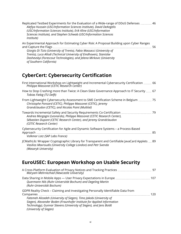| Replicated Testbed Experiments for the Evaluation of a Wide-range of DDoS Defenses  46<br>Alefiya Hussain (USC/Information Sciences Institute), David DeAngelis<br>(USC/Information Sciences Institute), Erik Kline (USC/Information<br>Sciences Institute), and Stephen Schwab (USC/Information Sciences<br>Institute)                                                 |
|-------------------------------------------------------------------------------------------------------------------------------------------------------------------------------------------------------------------------------------------------------------------------------------------------------------------------------------------------------------------------|
| An Experimental Approach for Estimating Cyber Risk: A Proposal Building upon Cyber Ranges<br>and Capture the Flags.<br>Giorgio Di Tizio (University of Trento), Fabio Massacci (University of<br>Trento), Luca Allodi (Technical University of Eindhoven), Stanislav<br>Dashevskyi (Forescout Technologies), and Jelena Mirkovic (University<br>of Southern California) |
| <b>CyberCert: Cybersecurity Certification</b>                                                                                                                                                                                                                                                                                                                           |
| First International Workshop on Lightweight and Incremental Cybersecurity Certification  66<br>Philippe Massonet (CETIC Research Center)                                                                                                                                                                                                                                |
| How to Stop Crashing more than Twice: A Clean-Slate Governance Approach to IT Security  67<br>Tobias Fiebig (TU Delft)                                                                                                                                                                                                                                                  |
| From Lightweight Cybersecurity Assessment to SME Certification Scheme in Belgium  75<br>Christophe Ponsard (CETIC), Philippe Massonet (CETIC), Jeremy<br>Grandclaudon (CETIC), and Nicolas Point (Multitel)                                                                                                                                                             |
| Andrea Morgagni (Leonardo), Philippe Massonet (CETIC Research Center),<br>Sébastien Dupont (CETIC Research Center), and Jeremy Grandclaudon<br>(CETIC Research Center)                                                                                                                                                                                                  |
| Cybersecurity Certification for Agile and Dynamic Software Systems - a Process-Based<br>Volkmar Lotz (SAP Labs France)                                                                                                                                                                                                                                                  |
| JCMathLib: Wrapper Cryptographic Library for Transparent and Certifiable JavaCard Applets  89<br>Vasilios Mavroudis (University College London) and Petr Svenda<br>(Masaryk University)                                                                                                                                                                                 |

### **EuroUSEC: European Workshop on Usable Security**

| Quermann Nils (Ruhr-Universität Bochum) and Degeling Martin<br>(Ruhr-Universität Bochum)                                                                                                                                                      |  |
|-----------------------------------------------------------------------------------------------------------------------------------------------------------------------------------------------------------------------------------------------|--|
| GDPR Reality Check - Claiming and Investigating Personally Identifiable Data from                                                                                                                                                             |  |
| Fatemeh Alizadeh (University of Siegen), Timo Jakobi (University of<br>Siegen), Alexander Boden (Fraunhofer Institute for Applied Information<br>Technology), Gunnar Stevens (University of Siegen), and Jens Boldt<br>(University of Siegen) |  |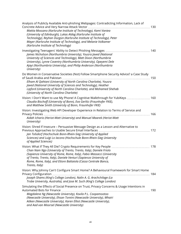| Analysis of Publicly Available Anti-phishing Webpages: Contradicting Information, Lack of<br>Mattia Mossano (Karlsruhe Institute of Technology), Kami Vaniea<br>(University of Edinburgh), Lukas Aldag (Karlsruhe Institute of<br>Technology), Reyhan Düzgün (Karlsruhe Institute of Technology), Peter<br>Mayer (Karlsruhe Institute of Technology), and Melanie Volkamer<br>(Karlsruhe Institute of Technology) |
|-------------------------------------------------------------------------------------------------------------------------------------------------------------------------------------------------------------------------------------------------------------------------------------------------------------------------------------------------------------------------------------------------------------------|
| James Nicholson (Northumbria University), Yousra Javed (National<br>University of Sciences and Technology), Matt Dixon (Northumbria<br>University), Lynne Coventry (Northumbria University), Opeyemi Dele<br>Ajayi (Northumbria University), and Philip Anderson (Northumbria<br>University)                                                                                                                      |
| Do Women in Conservative Societies (Not) Follow Smartphone Security Advice? a Case Study<br>Elham Al Qahtani (University of North Carolina Charlotte), Yousra<br>Javed (National University of Sciences and Technology), Heather<br>Lipford (University of North Carolina Charlotte), and Mohamed Shehab<br>(University of North Carolina Charlotte)                                                              |
| Vision: I Don't Want to use My Phone! A Cognitive Walkthrough for YubiKeys  160<br>Claudia Bischoff (University of Bonn), Eva Gerlitz (Fraunhofer FKIE),<br>and Matthew Smith (University of Bonn, Fraunhofer FKIE)                                                                                                                                                                                               |
| Vision: Investigating Web API Developer Experience in Relation to Terms of Service and<br>Aidah Ichario (Heriot-Watt University) and Manuel Maarek (Heriot-Watt<br>University)                                                                                                                                                                                                                                    |
| Vision: Shred If Insecure - Persuasive Message Design as a Lesson and Alternative to<br>Jan Tolsdorf (Hochschule Bonn-Rhein-Sieg University of Applied<br>Sciences) and Luigi Lo Iacono (Hochschule Bonn-Rhein-Sieg University<br>of Applied Sciences)                                                                                                                                                            |
| Chan Nam Ngo (University of Trento, Trento, Italy), Daniele Friolo<br>(Sapienza University of Rome, Rome, Italy), Fabio Massacci (University<br>of Trento, Trento, Italy), Daniele Venturi (Sapienza University of<br>Rome, Rome, Italy), and Ettore Battaiola (Cassa Centrale Banca,<br>Trento, Italy)                                                                                                           |
| Vision: Why Johnny Can't Configure Smart Home? A Behavioural Framework for Smart Home<br>Joseph Shams (King's College London), Nalin A. G. Arachchilage (La<br>Trobe University, Australia), and Jose M. Such (King's College London)                                                                                                                                                                             |
| Simulating the Effects of Social Presence on Trust, Privacy Concerns & Usage Intentions in<br>Magdalene Ng (Newcastle University), Kovila P.L. Coopamootoo<br>(Newcastle University), Ehsan Toreini (Newcastle University), Mhairi<br>Aitken (Newcastle University), Karen Elliot (Newcastle University),<br>and Aad van Moorsel (Newcastle University)                                                           |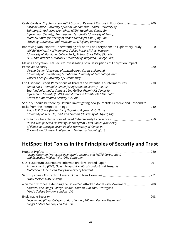| Cash, Cards or Cryptocurrencies? A Study of Payment Culture in Four Countries<br>200<br>Karoline Busse (University of Bonn), Mohammad Tahaei (University of<br>Edinburgh), Katharina Krombholz (CISPA Helmholtz Center for<br>Information Security), Emanuel von Zezschwitz (University of Bonn),<br>Matthew Smith (University of Bonn/Fraunhofer FKIE), Jing Tian<br>(Zhejiang University), and Wenyuan Xu (Zhejiang University) |
|-----------------------------------------------------------------------------------------------------------------------------------------------------------------------------------------------------------------------------------------------------------------------------------------------------------------------------------------------------------------------------------------------------------------------------------|
| Improving Non-Experts' Understanding of End-to-End Encryption: An Exploratory Study  210<br>Wei Bai (University of Maryland, College Park), Michael Pearson<br>(University of Maryland, College Park), Patrick Gage Kelley (Google<br>LLC), and Michelle L. Mazurek (University of Maryland, College Park)                                                                                                                        |
| Making Encryption Feel Secure: Investigating how Descriptions of Encryption Impact<br>Perceived Security.<br>220<br>Verena Distler (University of Luxembourg), Carine Lallemand<br>(University of Luxembourg / Eindhoven University of Technology), and<br>Vincent Koenig (University of Luxembourg)                                                                                                                              |
| End User and Expert Perceptions of Threats and Potential Countermeasures<br>230<br>Simon Anell (Helmholtz Center for Information Security (CISPA),<br>Saarland Informatics Campus), Lea Gröber (Helmholtz Center for<br>Information Security (CISPA)), and Katharina Krombholz (Helmholtz<br>Center for Information Security (CISPA))                                                                                             |
| Security Should be there by Default: Investigating how Journalists Perceive and Respond to<br>Risks from the Internet of Things.<br>240<br>Anjuli R. K. Shere (University of Oxford, UK), Jason R. C. Nurse<br>(University of Kent, UK), and Ivan Flechais (University of Oxford, UK)                                                                                                                                             |
| Tech Pains: Characterizations of Lived Cybersecurity Experiences.<br>250<br>Huixin Tian (Indiana University Bloomington), Chris Kanich (University<br>of Illinois at Chicago), Jason Polakis (University of Illinois at<br>Chicago), and Sameer Patil (Indiana University Bloomington)                                                                                                                                            |

### **HotSpot: Hot Topics in the Principles of Security and Trust**

| Joshua Guttman (Worcester Polytechnic Institute and MITRE Corporation)<br>and Sebastian Mödersheim (DTU Compute)                                                                 | 260  |
|----------------------------------------------------------------------------------------------------------------------------------------------------------------------------------|------|
| Arthur Americo (EECS, Queen Mary University of London) and Pasquale<br>Malacaria (EECS Queen Mary University of London)                                                          |      |
| Frank Piessens (KU Leuven)                                                                                                                                                       | -271 |
| A Game of Drones: Extending the Dolev-Yao Attacker Model with Movement<br>Andrew Cook (King's College London, London, UK) and Luca Viganò<br>(King's College London, London, UK) | 280  |
| Luca Viganò (King's College London, London, UK) and Daniele Magazzeni<br>(King's College London, London, UK)                                                                     | 293  |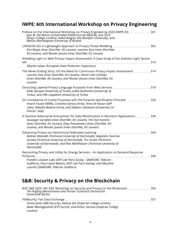### **IWPE: 6th International Workshop on Privacy Engineering**

| Preface on the International Workshop on Privacy Engineering 2020 (IWPE'20)  301<br>Jose M. Del Alamo (Universidad Politécnica de Madrid), Jose Such<br>(King's College London), Isabel Wagner (De Montfort Úniversity), and<br>Marvin Ramokapane (University of Bristol)                 |
|-------------------------------------------------------------------------------------------------------------------------------------------------------------------------------------------------------------------------------------------------------------------------------------------|
| Kim Wuyts (imec-DistriNet, KU Leuven), Laurens Sion (imec-DistriNet,<br>KU Leuven), and Wouter Joosen (imec-DistriNet, KU Leuven)                                                                                                                                                         |
| Shedding Light on Web Privacy Impact Assessment: A Case Study of the Ambient Light Sensor<br>Olejnik Lukasz (European Data Protection Supervisor)                                                                                                                                         |
| The Never-Ending Story: On the Need for Continuous Privacy Impact Assessment 314<br>Laurens Sion (imec-DistriNet, KU Leuven), Dimitri Van Landuyt<br>(imec-DistriNet, KU Leuven), and Wouter Joosen (imec-DistriNet, KU<br>Leuven)                                                        |
| Kalle Hjerppe (University of Turku), Jukka Ruohonen (University of<br>Turku), and Ville Leppänen (University of Turku)                                                                                                                                                                    |
| On Compliance of Cookie Purposes with the Purpose Specification Principle  326<br>Imane Fouad (INRIA), Cristiana Santos (Inria), Feras Al Kassar (SAP<br>Labs), Nataliia Bielova (Inria), and Stefano Calzavara (Universita Ca'<br>Foscari, Italy)                                        |
| A Siamese Adversarial Anonymizer for Data Minimization in Biometric Applications  334<br>Giuseppe Garofalo (imec-DistriNet, KU Leuven), Tim Van hamme<br>(imec-DistriNet, KU Leuven), Davy Preuveneers (imec-DistriNet, KU<br>Leuven), and Wouter Joosen (imec-DistriNet, KU Leuven)      |
| Enhancing Privacy via Hierarchical Federated Learning<br>Aidmar Wainakh (Technical University of Darmstadt), Alejandro Sanchez<br>Guinea (Technical University of Darmstadt), Tim Grube (Technical<br>University of Darmstadt), and Max Mühlhäuser (Technical University of<br>Darmstadt) |
| Reconciling Privacy and Utility for Energy Services - An Application to Demand Response<br>348<br>Franklin Leukam Lako (EDF Lab Paris-Saclay - SAMOVAR, Télécom<br>SudParis), Paul Lajoie-Mazenc (EDF Lab Paris-Saclay), and Maryline<br>Laurent (SAMOVAR, Télécom SudParis)              |

### **S&B: Security & Privacy on the Blockchain**

| IEEE S&B 2020: 4th IEEE Workshop on Security and Privacy on the Blockchain  356<br>Tim Ruffing (Blockstream) and Florian Tschorsch (Technische<br>Universität Berlin) |       |
|-----------------------------------------------------------------------------------------------------------------------------------------------------------------------|-------|
| Simon Janin (X80 Security), Kaihua Qin (Imperial College London),<br>Akaki Mamageishvili (ETH Zurich), and Arthur Gervais (Imperial College<br>London)                | - 357 |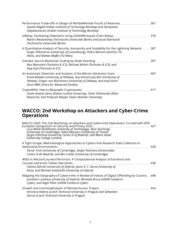| Performance Trade-offs in Design of MimbleWimble Proofs of Reserves  367<br>Suyash Bagad (Indian Institute of Technology Bombay) and Saravanan<br>Vijayakumaran (Indian Institute of Technology Bombay)       |
|---------------------------------------------------------------------------------------------------------------------------------------------------------------------------------------------------------------|
| Martin Westerkamp (Technische Universität Berlin) and Jacob Eberhardt<br>(Technische Universität Berlin)                                                                                                      |
| A Quantitative Analysis of Security, Anonymity and Scalability for the Lightning Network  387<br>Sergei Tikhomirov (University of Luxembourg), Pedro Moreno-Sanchez (TU<br>Wien), and Matteo Maffei (TU Wien) |
| Ostraka: Secure Blockchain Scaling by Node Sharding<br>397<br>Alex Manuskin (Technion & IC3), Michael Mirkin (Technion & IC3), and<br>Ittay Eyal (Technion & IC3)                                             |
| 407<br>Emad Badawi (University of Ottawa), Guy-Vincent Jourdan (University of<br>Ottawa), Gregor von Bochmann (University of Ottawa), and losif-Viorel<br>Onut (IBM Centre for Advanced Studies)              |
| CryptoWills: How to Bequeath Cryptoassets.<br>417<br>István András Seres (Eötvös Loránd University), Omer Shlomovits (KZen<br>Research), and Pratyush Ranjan Tiwari (Ashoka University)                       |

#### **WACCO: 2nd Workshop on Attackers and Cyber-Crime Operations**

| Mapping the Geography of Cybercrime: A Review of Indices of Digital Offending by Country  448 |
|-----------------------------------------------------------------------------------------------|
|                                                                                               |
|                                                                                               |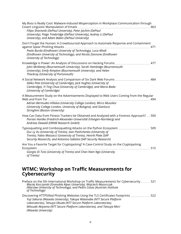| My Boss is Really Cool: Malware-Induced Misperception in Workplace Communication through<br>Filipo Sharevski (DePaul University), Peter Jachim (DePaul<br>University), Paige Treebridge (DePaul University), Audrey Li (DePaul<br>University), and Adam Babin (DePaul University)  |
|------------------------------------------------------------------------------------------------------------------------------------------------------------------------------------------------------------------------------------------------------------------------------------|
| Don't Forget the Human: A Crowdsourced Approach to Automate Response and Containment<br>Pavlo Burda (Eindhoven University of Technology), Luca Allodi<br>(Eindhoven University of Technology), and Nicola Zannone (Eindhoven<br>University of Technology)                          |
| Knowledge is Power: An Analysis of Discussions on Hacking Forums  477<br>John McAlaney (Bournemouth University), Sarah Hambidge (Bournemouth<br>University), Emily Kimpton (Bournemouth University), and Helen<br>Thackray (University of Portsmouth)                              |
| A Social Network Analysis and Comparison of Six Dark Web Forums  484<br>Ildiko Pete (University of Cambridge), Jack Hughes (University of<br>Cambridge), Yi Ting Chua (University of Cambridge), and Maria Bada<br>(University of Cambridge)                                       |
| A Measurement Study on the Advertisements Displayed to Web Users Coming from the Regular<br>Adrian Bermudez-Villalva (University College London), Mirco Musolesi<br>(University College London, University of Bologna), and Gianluca<br>Stringhini (Boston University)             |
| How Can Data from Fitness Trackers be Obtained and Analyzed with a Forensic Approach?  500<br>Florian Hantke (Friedrich-Alexander-Universität Erlangen-Nürnberg) and<br>Andreas Dewald (ERNW Research GmbH)                                                                        |
| Typosquatting and Combosquatting Attacks on the Python Ecosystem  509<br>Duc Ly Vu (University of Trento), Ivan Pashchenko (University of<br>Trento), Fabio Massacci (University of Trento), Henrik Plate (SAP<br>Security Research), and Antonino Sabetta (SAP Security Research) |
| Are You a Favorite Target for Cryptojacking? A Case-Control Study on the Cryptojacking<br>515<br>Giorgio Di Tizio (University of Trento) and Chan Nam Ngo (University<br>of Trento)                                                                                                |

#### **WTMC: Workshop on Traffic Measurements for Cybersecurity**

Preface on the 5th International Workshop on Traffic Measurements for Cybersecurity .......... 521  *Maciej Korczynski (Grenoble Alpes University), Wojciech Mazurczyk (Warsaw University of Technology), and Pedro Casas (Austrian Institute of Technology)*

Discovering HTTPSified Phishing Websites Using the TLS Certificates Footprints .................... 522  *Yuji Sakurai (Waseda University), Takuya Watanabe (NTT Secure Platform Laboratories), Tetsuya Okuda (NTT Secure Platform Laboratories), Mitsuaki Akiyama (NTT Secure Platform Laboratories), and Tatsuya Mori (Waseda University)*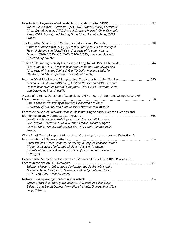| 532<br>Wissem Soussi (Univ. Grenoble Alpes, CNRS, France), Maciej Korczynski<br>(Univ. Grenoble Alpes, CNRS, France), Sourena Maroofi (Univ. Grenoble<br>Alpes, CNRS, France), and Andrzej Duda (Univ. Grenoble Alpes, CNRS,<br>France)                                                                                  |  |
|--------------------------------------------------------------------------------------------------------------------------------------------------------------------------------------------------------------------------------------------------------------------------------------------------------------------------|--|
| The Forgotten Side of DNS: Orphan and Abandoned Records<br>538<br>Raffaele Sommese (University of Twente), Mattijs Jonker (University of<br>Twente), Roland van Rijswijk-Deij (University of Twente), Alberto<br>Dainotti (CAIDA/UCSD), K.C. Claffy (CAIDA/UCSD), and Anna Sperotto<br>(University of Twente)            |  |
| TXTing 101: Finding Security Issues in the Long Tail of DNS TXT Records<br>544<br>Olivier van der Toorn (University of Twente), Roland van Rijswijk-Deij<br>(University of Twente), Tobias Fiebig (TU Delft), Martina Lindorfer<br>(TU Wien), and Anna Sperotto (University of Twente)                                   |  |
| Into the DDoS Maelstrom: A Longitudinal Study of a Scrubbing Service  550<br>Giovane C. M. Moura (SIDN Labs), Cristian Hesselman (SIDN Labs and<br>University of Twente), Gerald Schaapman (NBIP), Nick Boerman (SIDN),<br>and Octavia de Weerdt (NBIP)                                                                  |  |
| A Case of Identity: Detection of Suspicious IDN Homograph Domains Using Active DNS<br>559<br>Ramin Yazdani (University of Twente), Olivier van der Toorn<br>(University of Twente), and Anna Sperotto (University of Twente)                                                                                             |  |
| Forensic Analysis of Network Attacks: Restructuring Security Events as Graphs and<br>565<br>Laetitia Leichtnam (CentraleSupelec, Univ. Rennes, IRISA, France),<br>Eric Totel (IMT Atlantique, IRISA, Rennes, France), Nicolas Prigent<br>(LSTI, St-Malo, France), and Ludovic Mé (INRIA, Univ. Rennes, IRISA,<br>France) |  |
| WhatsThat? On the Usage of Hierarchical Clustering for Unsupervised Detection &<br>574<br>Pavol Mulinka (Czech Technical University in Prague), Kensuke Fukuda<br>(National Institute of Informatics), Pedro Casas (AIT Austrian<br>Institute of Technology), and Lukas Kencl (Czech Technical University<br>in Prague)  |  |
| Experimental Study of Performance and Vulnerabilities of IEC 61850 Process Bus<br><b>Communications on HSR Networks</b><br>584<br>Stéphane Mocanu (Laboratoire d'Informatique de Grenoble, Univ.<br>Grenoble Alpes, CNRS, Inria, Grenoble INP) and Jean-Marc Thiriet<br>(GIPSA-Lab, Univ. Grenoble Alpes)                |  |
| 594<br>Emeline Marechal (Montefiore Institute, Université de Liège, Liège,<br>Belgium) and Benoit Donnet (Montefiore Institute, Université de Liège,<br>Liège, Belgium)                                                                                                                                                  |  |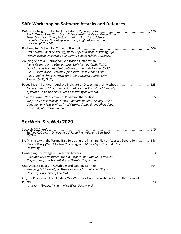### **SAD: Workshop on Software Attacks and Defenses**

| Maria Teresa Rossi (Gran Sasso Science Institute), Renan Greca (Gran<br>Sasso Science Institute), Ludovico Iovino (Gran Sasso Science<br>Institute), Giorgio Giacinto (University of Cagliari), and Antonia<br>Bertolino (ISTI - CNR)                                                              |  |
|----------------------------------------------------------------------------------------------------------------------------------------------------------------------------------------------------------------------------------------------------------------------------------------------------|--|
| Bert Abrath (Ghent University), Bart Coppens (Ghent University), Ilja<br>Nevolin (Ghent University), and Bjorn De Sutter (Ghent University)                                                                                                                                                        |  |
| Pierre Graux (CentraleSuplec, Inria, Univ Rennes, CNRS, IRISA),<br>Jean-François Lalande (CentraleSuplec, Inria, Univ Rennes, CNRS,<br>IRISA), Pierre Wilke (CentraleSuplec, Inria, Univ Rennes, CNRS,<br>IRISA), and Valérie Viet Triem Tong (CentraleSuplec, Inria, Univ<br>Rennes, CNRS, IRISA) |  |
| Revealing Similarities in Android Malware by Dissecting their Methods  625<br>Michele Pasetto (Università di Verona), Niccolò Marastoni (University<br>of Verona), and Mila Dalla Preda (University of Verona)                                                                                     |  |
| 635<br>Towards Formal Verification of Program Obfuscation<br>Weiyun Lu (University of Ottawa, Canada), Bahman Sistany (Irdeto<br>Canada), Amy Felty (University of Ottawa, Canada), and Philip Scott<br>(University of Ottawa, Canada)                                                             |  |

### **SecWeb: SecWeb 2020**

| SecWeb 2020 Preface<br>Stefano Calzavara (Università Ca' Foscari Venezia) and Ben Stock<br>(CISPA)                                                                            | 645 |
|-------------------------------------------------------------------------------------------------------------------------------------------------------------------------------|-----|
| No Phishing with the Wrong Bait: Reducing the Phishing Risk by Address Separation  646<br>Vincent Drury (RWTH Aachen University) and Ulrike Meyer (RWTH Aachen<br>University) |     |
| Christoph Kerschbaumer (Mozilla Corporation), Tom Ritter (Mozilla<br>Corporation), and Frederik Braun (Mozilla Corporation)                                                   | 653 |
| Wanpeng Li (University of Aberdeen) and Chris J Mitchell (Royal<br>Holloway, University of London)                                                                            | 664 |
| Oh, the Places You'll Go! Finding Our Way Back from the Web Platform's Ill-Conceived                                                                                          | 673 |
| Artur Janc (Google, Inc) and Mike West (Google, Inc)                                                                                                                          |     |